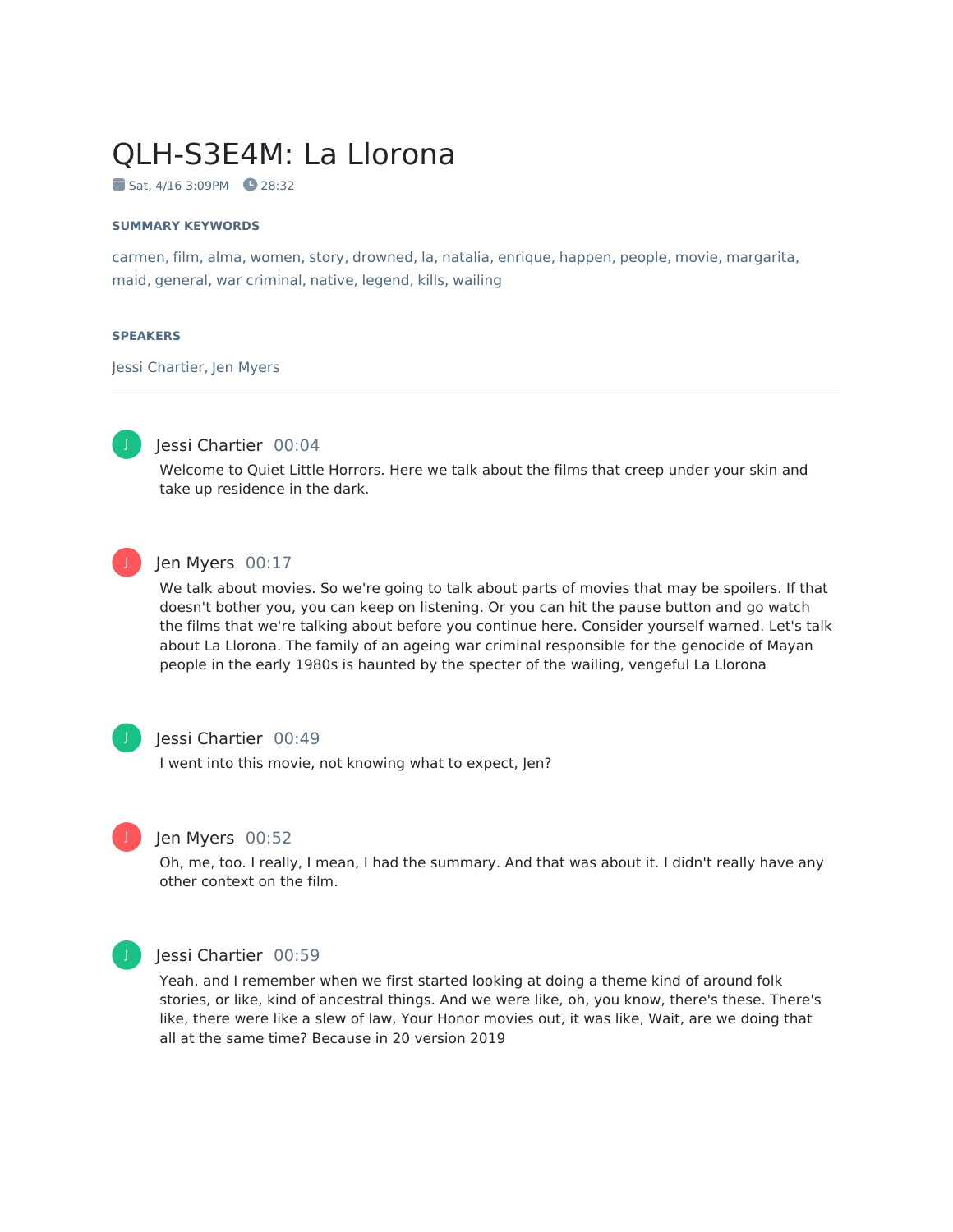# QLH-S3E4M: La Llorona

Sat, 4/16 3:09PM 28:32

#### **SUMMARY KEYWORDS**

carmen, film, alma, women, story, drowned, la, natalia, enrique, happen, people, movie, margarita, maid, general, war criminal, native, legend, kills, wailing

#### **SPEAKERS**

Jessi Chartier, Jen Myers



### Jessi Chartier 00:04

Welcome to Quiet Little Horrors. Here we talk about the films that creep under your skin and take up residence in the dark.



#### Jen Myers 00:17

We talk about movies. So we're going to talk about parts of movies that may be spoilers. If that doesn't bother you, you can keep on listening. Or you can hit the pause button and go watch the films that we're talking about before you continue here. Consider yourself warned. Let's talk about La Llorona. The family of an ageing war criminal responsible for the genocide of Mayan people in the early 1980s is haunted by the specter of the wailing, vengeful La Llorona



#### Jessi Chartier 00:49

I went into this movie, not knowing what to expect, Jen?



#### Jen Myers 00:52

Oh, me, too. I really, I mean, I had the summary. And that was about it. I didn't really have any other context on the film.



#### Jessi Chartier 00:59

Yeah, and I remember when we first started looking at doing a theme kind of around folk stories, or like, kind of ancestral things. And we were like, oh, you know, there's these. There's like, there were like a slew of law, Your Honor movies out, it was like, Wait, are we doing that all at the same time? Because in 20 version 2019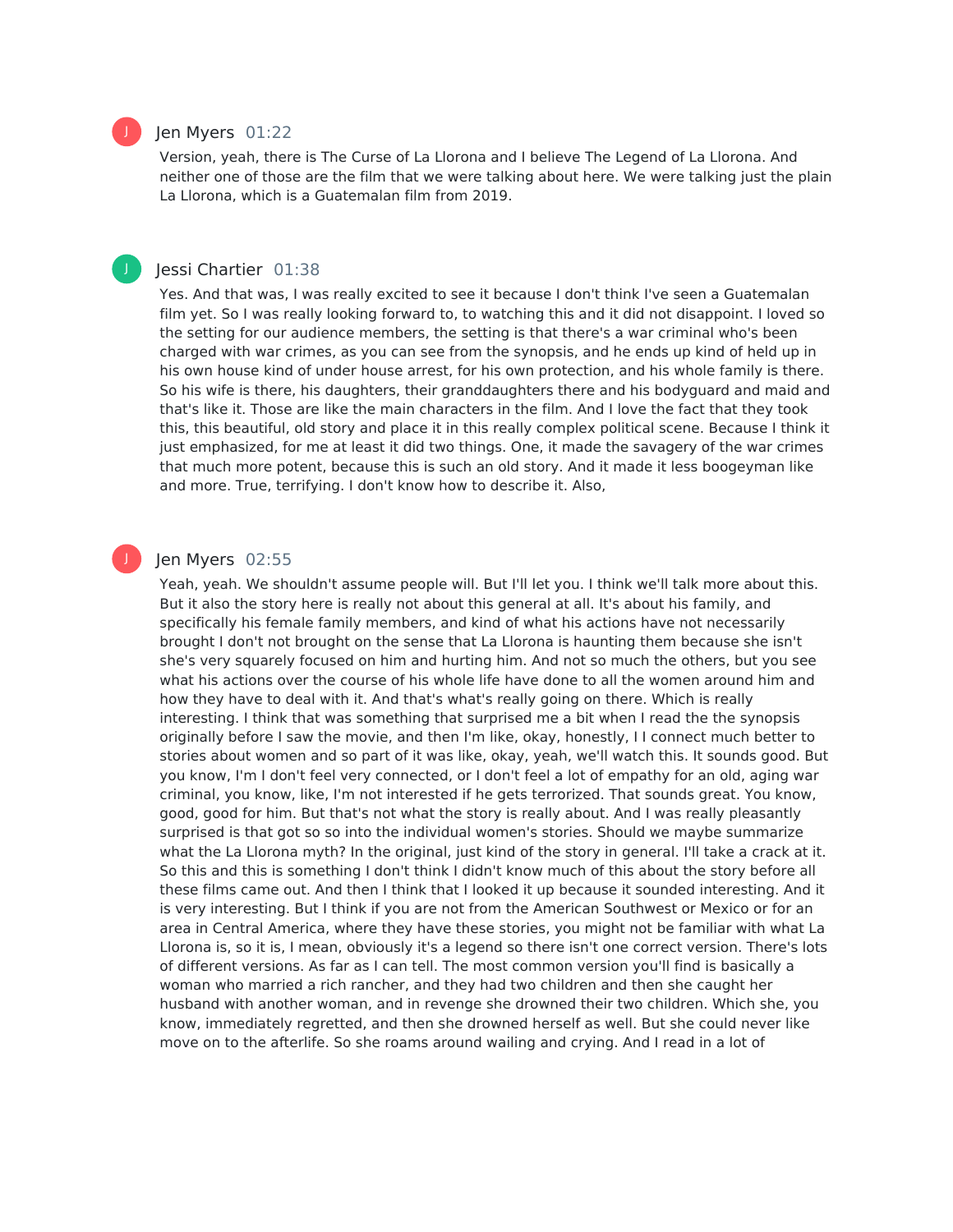#### Jen Myers 01:22

Version, yeah, there is The Curse of La Llorona and I believe The Legend of La Llorona. And neither one of those are the film that we were talking about here. We were talking just the plain La Llorona, which is a Guatemalan film from 2019.

#### Jessi Chartier 01:38

Yes. And that was, I was really excited to see it because I don't think I've seen a Guatemalan film yet. So I was really looking forward to, to watching this and it did not disappoint. I loved so the setting for our audience members, the setting is that there's a war criminal who's been charged with war crimes, as you can see from the synopsis, and he ends up kind of held up in his own house kind of under house arrest, for his own protection, and his whole family is there. So his wife is there, his daughters, their granddaughters there and his bodyguard and maid and that's like it. Those are like the main characters in the film. And I love the fact that they took this, this beautiful, old story and place it in this really complex political scene. Because I think it just emphasized, for me at least it did two things. One, it made the savagery of the war crimes that much more potent, because this is such an old story. And it made it less boogeyman like and more. True, terrifying. I don't know how to describe it. Also,

#### Jen Myers 02:55

Yeah, yeah. We shouldn't assume people will. But I'll let you. I think we'll talk more about this. But it also the story here is really not about this general at all. It's about his family, and specifically his female family members, and kind of what his actions have not necessarily brought I don't not brought on the sense that La Llorona is haunting them because she isn't she's very squarely focused on him and hurting him. And not so much the others, but you see what his actions over the course of his whole life have done to all the women around him and how they have to deal with it. And that's what's really going on there. Which is really interesting. I think that was something that surprised me a bit when I read the the synopsis originally before I saw the movie, and then I'm like, okay, honestly, I I connect much better to stories about women and so part of it was like, okay, yeah, we'll watch this. It sounds good. But you know, I'm I don't feel very connected, or I don't feel a lot of empathy for an old, aging war criminal, you know, like, I'm not interested if he gets terrorized. That sounds great. You know, good, good for him. But that's not what the story is really about. And I was really pleasantly surprised is that got so so into the individual women's stories. Should we maybe summarize what the La Llorona myth? In the original, just kind of the story in general. I'll take a crack at it. So this and this is something I don't think I didn't know much of this about the story before all these films came out. And then I think that I looked it up because it sounded interesting. And it is very interesting. But I think if you are not from the American Southwest or Mexico or for an area in Central America, where they have these stories, you might not be familiar with what La Llorona is, so it is, I mean, obviously it's a legend so there isn't one correct version. There's lots of different versions. As far as I can tell. The most common version you'll find is basically a woman who married a rich rancher, and they had two children and then she caught her husband with another woman, and in revenge she drowned their two children. Which she, you know, immediately regretted, and then she drowned herself as well. But she could never like move on to the afterlife. So she roams around wailing and crying. And I read in a lot of



J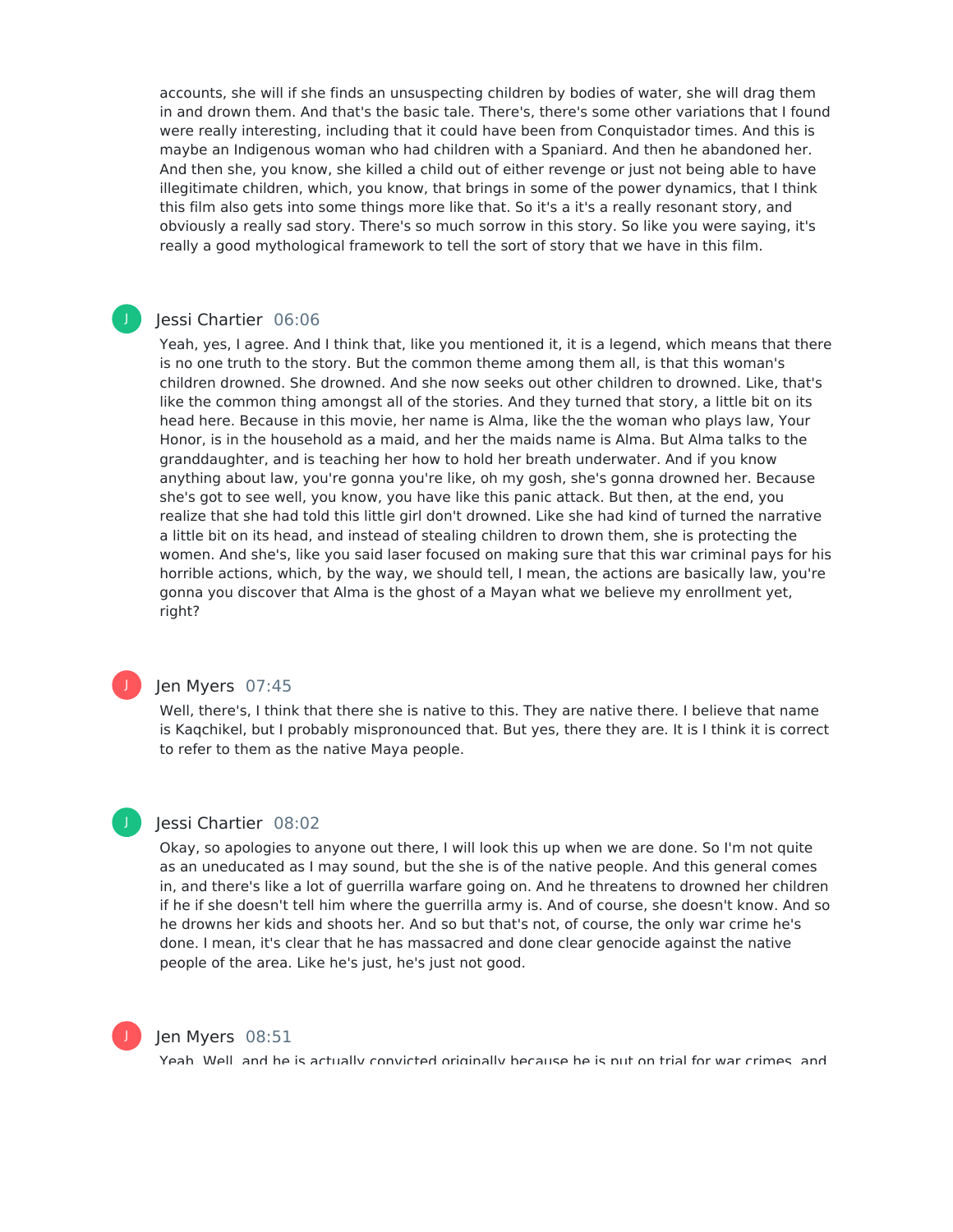accounts, she will if she finds an unsuspecting children by bodies of water, she will drag them in and drown them. And that's the basic tale. There's, there's some other variations that I found were really interesting, including that it could have been from Conquistador times. And this is maybe an Indigenous woman who had children with a Spaniard. And then he abandoned her. And then she, you know, she killed a child out of either revenge or just not being able to have illegitimate children, which, you know, that brings in some of the power dynamics, that I think this film also gets into some things more like that. So it's a it's a really resonant story, and obviously a really sad story. There's so much sorrow in this story. So like you were saying, it's really a good mythological framework to tell the sort of story that we have in this film.

#### Jessi Chartier 06:06 J

Yeah, yes, I agree. And I think that, like you mentioned it, it is a legend, which means that there is no one truth to the story. But the common theme among them all, is that this woman's children drowned. She drowned. And she now seeks out other children to drowned. Like, that's like the common thing amongst all of the stories. And they turned that story, a little bit on its head here. Because in this movie, her name is Alma, like the the woman who plays law, Your Honor, is in the household as a maid, and her the maids name is Alma. But Alma talks to the granddaughter, and is teaching her how to hold her breath underwater. And if you know anything about law, you're gonna you're like, oh my gosh, she's gonna drowned her. Because she's got to see well, you know, you have like this panic attack. But then, at the end, you realize that she had told this little girl don't drowned. Like she had kind of turned the narrative a little bit on its head, and instead of stealing children to drown them, she is protecting the women. And she's, like you said laser focused on making sure that this war criminal pays for his horrible actions, which, by the way, we should tell, I mean, the actions are basically law, you're gonna you discover that Alma is the ghost of a Mayan what we believe my enrollment yet, right?



#### Jen Myers 07:45

Well, there's, I think that there she is native to this. They are native there. I believe that name is Kaqchikel, but I probably mispronounced that. But yes, there they are. It is I think it is correct to refer to them as the native Maya people.

# J

#### Jessi Chartier 08:02

Okay, so apologies to anyone out there, I will look this up when we are done. So I'm not quite as an uneducated as I may sound, but the she is of the native people. And this general comes in, and there's like a lot of guerrilla warfare going on. And he threatens to drowned her children if he if she doesn't tell him where the guerrilla army is. And of course, she doesn't know. And so he drowns her kids and shoots her. And so but that's not, of course, the only war crime he's done. I mean, it's clear that he has massacred and done clear genocide against the native people of the area. Like he's just, he's just not good.



#### Jen Myers 08:51

Yeah. Well, and he is actually convicted originally because he is put on trial for war crimes, and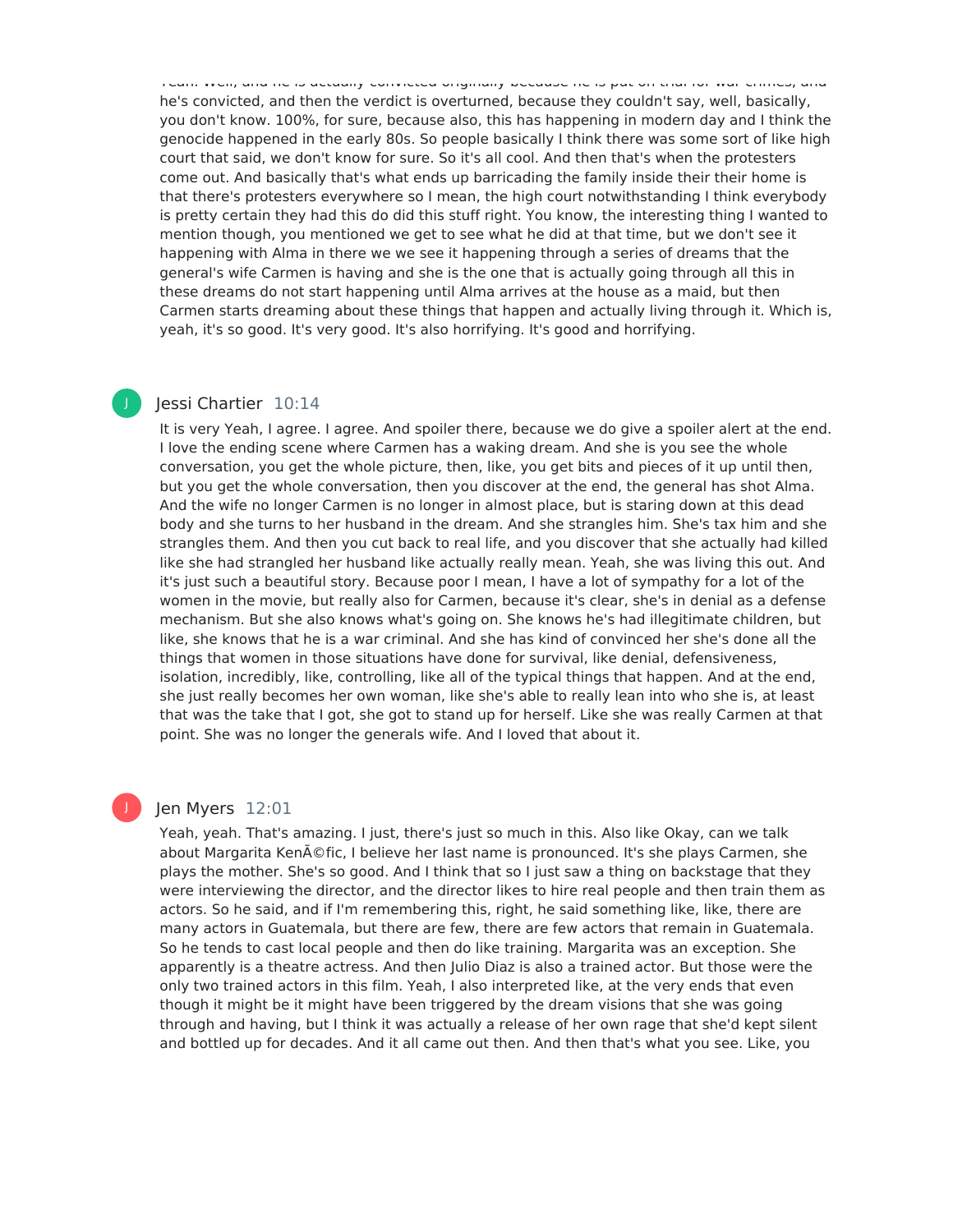Yeah. Well, and he is actually convicted originally because he is put on trial for war crimes, and he's convicted, and then the verdict is overturned, because they couldn't say, well, basically, you don't know. 100%, for sure, because also, this has happening in modern day and I think the genocide happened in the early 80s. So people basically I think there was some sort of like high court that said, we don't know for sure. So it's all cool. And then that's when the protesters come out. And basically that's what ends up barricading the family inside their their home is that there's protesters everywhere so I mean, the high court notwithstanding I think everybody is pretty certain they had this do did this stuff right. You know, the interesting thing I wanted to mention though, you mentioned we get to see what he did at that time, but we don't see it happening with Alma in there we we see it happening through a series of dreams that the general's wife Carmen is having and she is the one that is actually going through all this in these dreams do not start happening until Alma arrives at the house as a maid, but then Carmen starts dreaming about these things that happen and actually living through it. Which is, yeah, it's so good. It's very good. It's also horrifying. It's good and horrifying.

#### Jessi Chartier 10:14

J

It is very Yeah, I agree. I agree. And spoiler there, because we do give a spoiler alert at the end. I love the ending scene where Carmen has a waking dream. And she is you see the whole conversation, you get the whole picture, then, like, you get bits and pieces of it up until then, but you get the whole conversation, then you discover at the end, the general has shot Alma. And the wife no longer Carmen is no longer in almost place, but is staring down at this dead body and she turns to her husband in the dream. And she strangles him. She's tax him and she strangles them. And then you cut back to real life, and you discover that she actually had killed like she had strangled her husband like actually really mean. Yeah, she was living this out. And it's just such a beautiful story. Because poor I mean, I have a lot of sympathy for a lot of the women in the movie, but really also for Carmen, because it's clear, she's in denial as a defense mechanism. But she also knows what's going on. She knows he's had illegitimate children, but like, she knows that he is a war criminal. And she has kind of convinced her she's done all the things that women in those situations have done for survival, like denial, defensiveness, isolation, incredibly, like, controlling, like all of the typical things that happen. And at the end, she just really becomes her own woman, like she's able to really lean into who she is, at least that was the take that I got, she got to stand up for herself. Like she was really Carmen at that point. She was no longer the generals wife. And I loved that about it.

#### Jen Myers 12:01

Yeah, yeah. That's amazing. I just, there's just so much in this. Also like Okay, can we talk about Margarita Kenéfic, I believe her last name is pronounced. It's she plays Carmen, she plays the mother. She's so good. And I think that so I just saw a thing on backstage that they were interviewing the director, and the director likes to hire real people and then train them as actors. So he said, and if I'm remembering this, right, he said something like, like, there are many actors in Guatemala, but there are few, there are few actors that remain in Guatemala. So he tends to cast local people and then do like training. Margarita was an exception. She apparently is a theatre actress. And then Julio Diaz is also a trained actor. But those were the only two trained actors in this film. Yeah, I also interpreted like, at the very ends that even though it might be it might have been triggered by the dream visions that she was going through and having, but I think it was actually a release of her own rage that she'd kept silent and bottled up for decades. And it all came out then. And then that's what you see. Like, you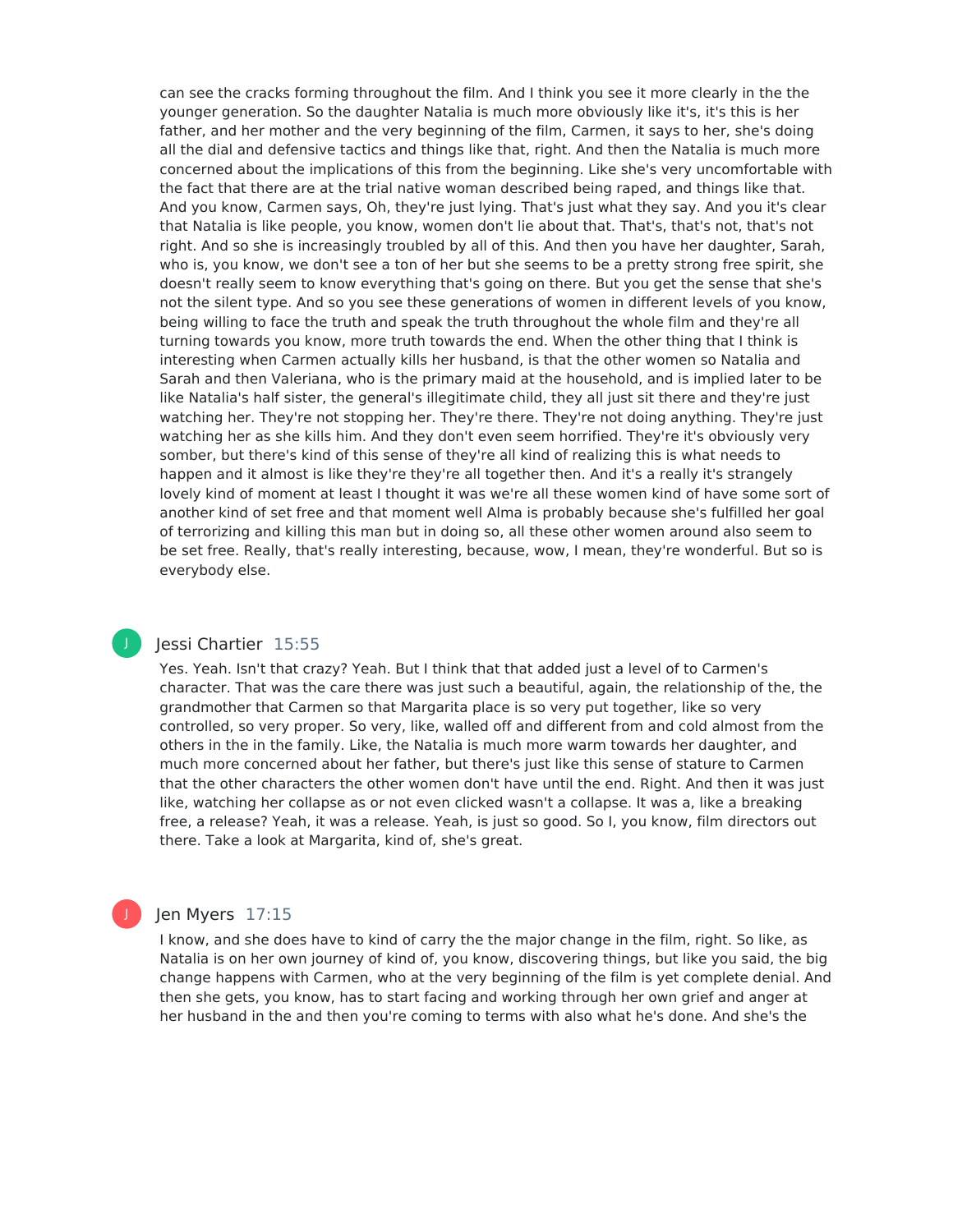can see the cracks forming throughout the film. And I think you see it more clearly in the the younger generation. So the daughter Natalia is much more obviously like it's, it's this is her father, and her mother and the very beginning of the film, Carmen, it says to her, she's doing all the dial and defensive tactics and things like that, right. And then the Natalia is much more concerned about the implications of this from the beginning. Like she's very uncomfortable with the fact that there are at the trial native woman described being raped, and things like that. And you know, Carmen says, Oh, they're just lying. That's just what they say. And you it's clear that Natalia is like people, you know, women don't lie about that. That's, that's not, that's not right. And so she is increasingly troubled by all of this. And then you have her daughter, Sarah, who is, you know, we don't see a ton of her but she seems to be a pretty strong free spirit, she doesn't really seem to know everything that's going on there. But you get the sense that she's not the silent type. And so you see these generations of women in different levels of you know, being willing to face the truth and speak the truth throughout the whole film and they're all turning towards you know, more truth towards the end. When the other thing that I think is interesting when Carmen actually kills her husband, is that the other women so Natalia and Sarah and then Valeriana, who is the primary maid at the household, and is implied later to be like Natalia's half sister, the general's illegitimate child, they all just sit there and they're just watching her. They're not stopping her. They're there. They're not doing anything. They're just watching her as she kills him. And they don't even seem horrified. They're it's obviously very somber, but there's kind of this sense of they're all kind of realizing this is what needs to happen and it almost is like they're they're all together then. And it's a really it's strangely lovely kind of moment at least I thought it was we're all these women kind of have some sort of another kind of set free and that moment well Alma is probably because she's fulfilled her goal of terrorizing and killing this man but in doing so, all these other women around also seem to be set free. Really, that's really interesting, because, wow, I mean, they're wonderful. But so is everybody else.

#### Jessi Chartier 15:55

J

Yes. Yeah. Isn't that crazy? Yeah. But I think that that added just a level of to Carmen's character. That was the care there was just such a beautiful, again, the relationship of the, the grandmother that Carmen so that Margarita place is so very put together, like so very controlled, so very proper. So very, like, walled off and different from and cold almost from the others in the in the family. Like, the Natalia is much more warm towards her daughter, and much more concerned about her father, but there's just like this sense of stature to Carmen that the other characters the other women don't have until the end. Right. And then it was just like, watching her collapse as or not even clicked wasn't a collapse. It was a, like a breaking free, a release? Yeah, it was a release. Yeah, is just so good. So I, you know, film directors out there. Take a look at Margarita, kind of, she's great.

#### Jen Myers 17:15

I know, and she does have to kind of carry the the major change in the film, right. So like, as Natalia is on her own journey of kind of, you know, discovering things, but like you said, the big change happens with Carmen, who at the very beginning of the film is yet complete denial. And then she gets, you know, has to start facing and working through her own grief and anger at her husband in the and then you're coming to terms with also what he's done. And she's the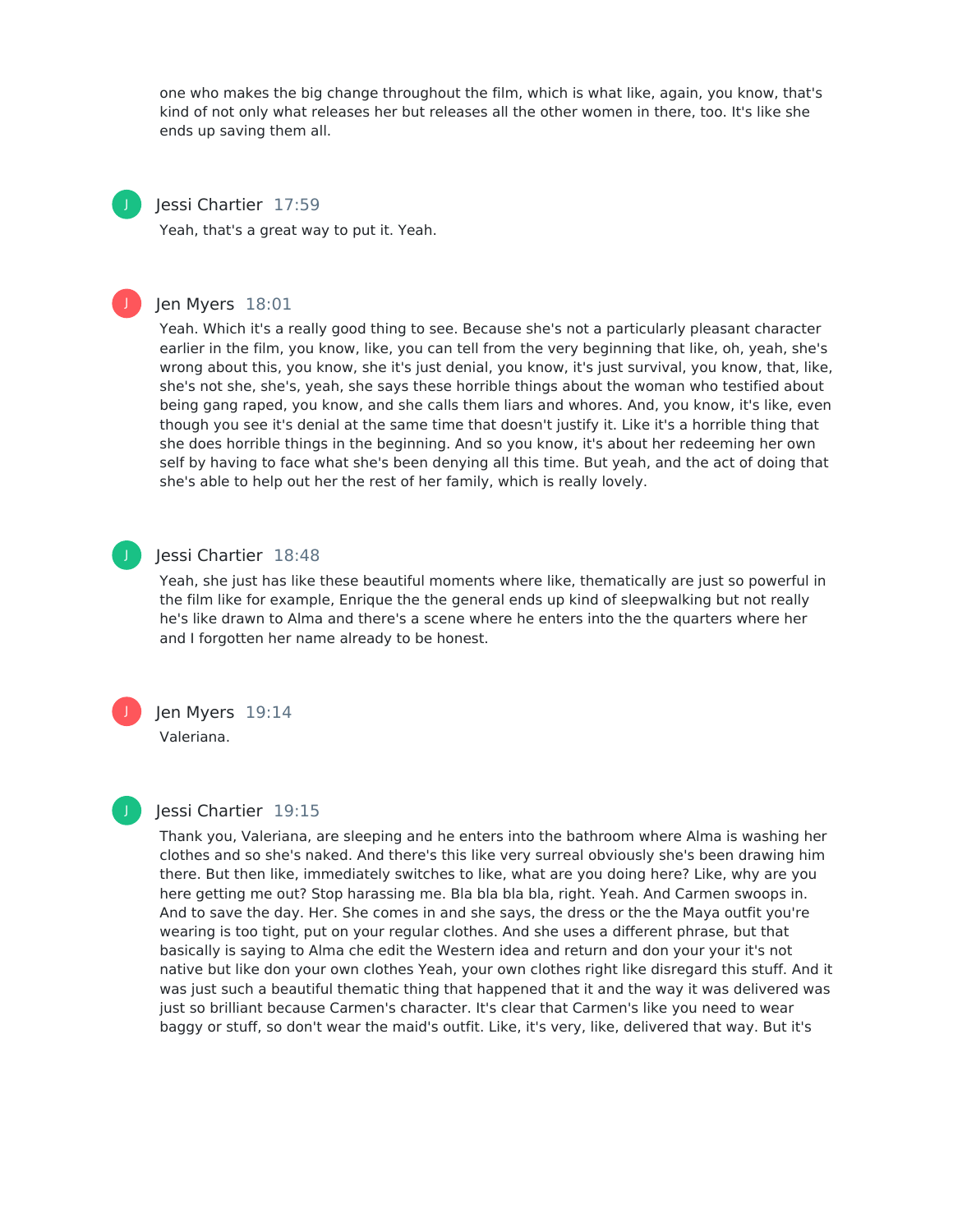one who makes the big change throughout the film, which is what like, again, you know, that's kind of not only what releases her but releases all the other women in there, too. It's like she ends up saving them all.



#### Jessi Chartier 17:59

Yeah, that's a great way to put it. Yeah.



#### Jen Myers 18:01

Yeah. Which it's a really good thing to see. Because she's not a particularly pleasant character earlier in the film, you know, like, you can tell from the very beginning that like, oh, yeah, she's wrong about this, you know, she it's just denial, you know, it's just survival, you know, that, like, she's not she, she's, yeah, she says these horrible things about the woman who testified about being gang raped, you know, and she calls them liars and whores. And, you know, it's like, even though you see it's denial at the same time that doesn't justify it. Like it's a horrible thing that she does horrible things in the beginning. And so you know, it's about her redeeming her own self by having to face what she's been denying all this time. But yeah, and the act of doing that she's able to help out her the rest of her family, which is really lovely.



#### Jessi Chartier 18:48

Yeah, she just has like these beautiful moments where like, thematically are just so powerful in the film like for example, Enrique the the general ends up kind of sleepwalking but not really he's like drawn to Alma and there's a scene where he enters into the the quarters where her and I forgotten her name already to be honest.



## Jen Myers 19:14

Valeriana.



#### Jessi Chartier 19:15

Thank you, Valeriana, are sleeping and he enters into the bathroom where Alma is washing her clothes and so she's naked. And there's this like very surreal obviously she's been drawing him there. But then like, immediately switches to like, what are you doing here? Like, why are you here getting me out? Stop harassing me. Bla bla bla bla, right. Yeah. And Carmen swoops in. And to save the day. Her. She comes in and she says, the dress or the the Maya outfit you're wearing is too tight, put on your regular clothes. And she uses a different phrase, but that basically is saying to Alma che edit the Western idea and return and don your your it's not native but like don your own clothes Yeah, your own clothes right like disregard this stuff. And it was just such a beautiful thematic thing that happened that it and the way it was delivered was just so brilliant because Carmen's character. It's clear that Carmen's like you need to wear baggy or stuff, so don't wear the maid's outfit. Like, it's very, like, delivered that way. But it's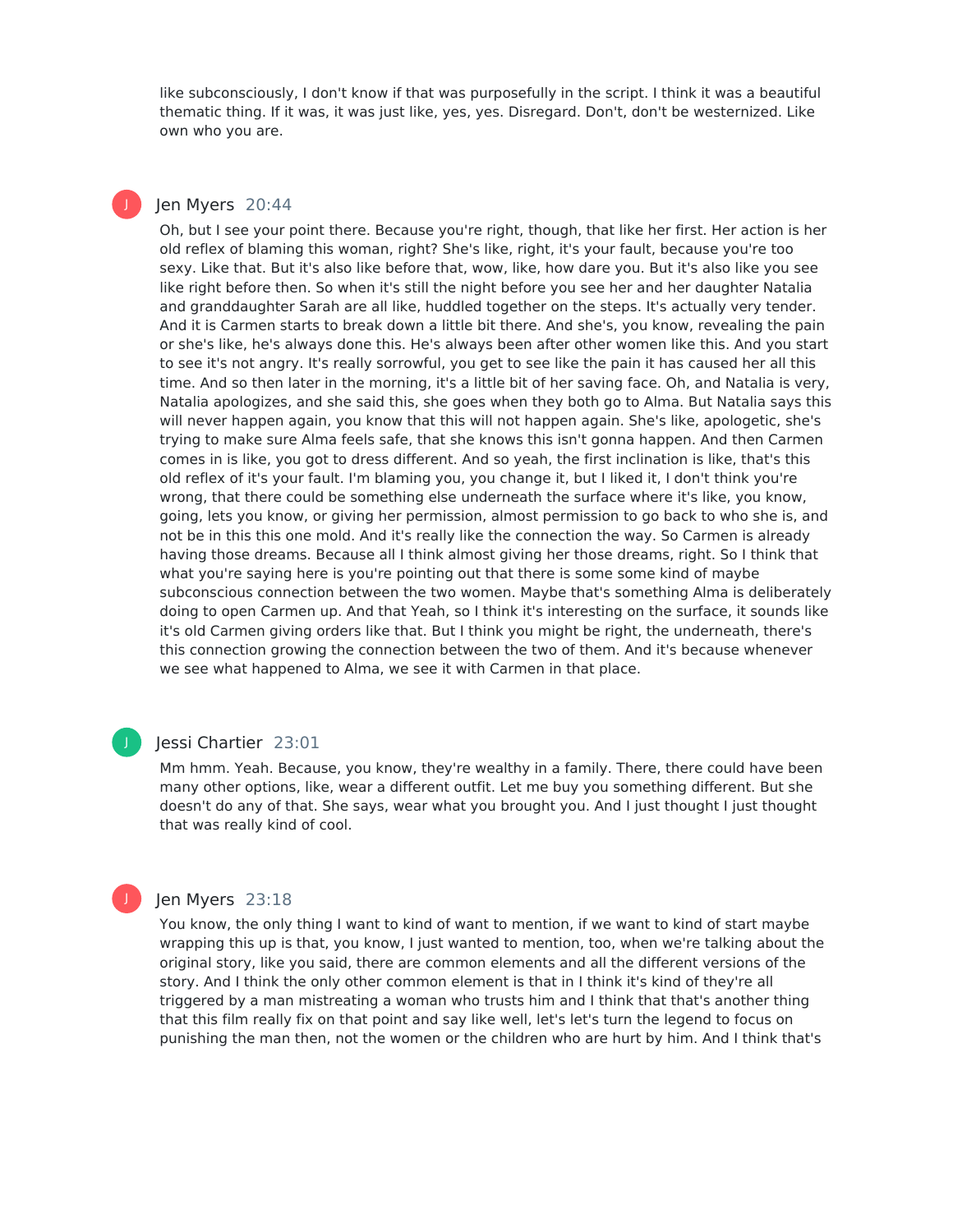like subconsciously, I don't know if that was purposefully in the script. I think it was a beautiful thematic thing. If it was, it was just like, yes, yes. Disregard. Don't, don't be westernized. Like own who you are.

#### Jen Myers 20:44

J

Oh, but I see your point there. Because you're right, though, that like her first. Her action is her old reflex of blaming this woman, right? She's like, right, it's your fault, because you're too sexy. Like that. But it's also like before that, wow, like, how dare you. But it's also like you see like right before then. So when it's still the night before you see her and her daughter Natalia and granddaughter Sarah are all like, huddled together on the steps. It's actually very tender. And it is Carmen starts to break down a little bit there. And she's, you know, revealing the pain or she's like, he's always done this. He's always been after other women like this. And you start to see it's not angry. It's really sorrowful, you get to see like the pain it has caused her all this time. And so then later in the morning, it's a little bit of her saving face. Oh, and Natalia is very, Natalia apologizes, and she said this, she goes when they both go to Alma. But Natalia says this will never happen again, you know that this will not happen again. She's like, apologetic, she's trying to make sure Alma feels safe, that she knows this isn't gonna happen. And then Carmen comes in is like, you got to dress different. And so yeah, the first inclination is like, that's this old reflex of it's your fault. I'm blaming you, you change it, but I liked it, I don't think you're wrong, that there could be something else underneath the surface where it's like, you know, going, lets you know, or giving her permission, almost permission to go back to who she is, and not be in this this one mold. And it's really like the connection the way. So Carmen is already having those dreams. Because all I think almost giving her those dreams, right. So I think that what you're saying here is you're pointing out that there is some some kind of maybe subconscious connection between the two women. Maybe that's something Alma is deliberately doing to open Carmen up. And that Yeah, so I think it's interesting on the surface, it sounds like it's old Carmen giving orders like that. But I think you might be right, the underneath, there's this connection growing the connection between the two of them. And it's because whenever we see what happened to Alma, we see it with Carmen in that place.



#### Jessi Chartier 23:01

Mm hmm. Yeah. Because, you know, they're wealthy in a family. There, there could have been many other options, like, wear a different outfit. Let me buy you something different. But she doesn't do any of that. She says, wear what you brought you. And I just thought I just thought that was really kind of cool.

#### Jen Myers 23:18

You know, the only thing I want to kind of want to mention, if we want to kind of start maybe wrapping this up is that, you know, I just wanted to mention, too, when we're talking about the original story, like you said, there are common elements and all the different versions of the story. And I think the only other common element is that in I think it's kind of they're all triggered by a man mistreating a woman who trusts him and I think that that's another thing that this film really fix on that point and say like well, let's let's turn the legend to focus on punishing the man then, not the women or the children who are hurt by him. And I think that's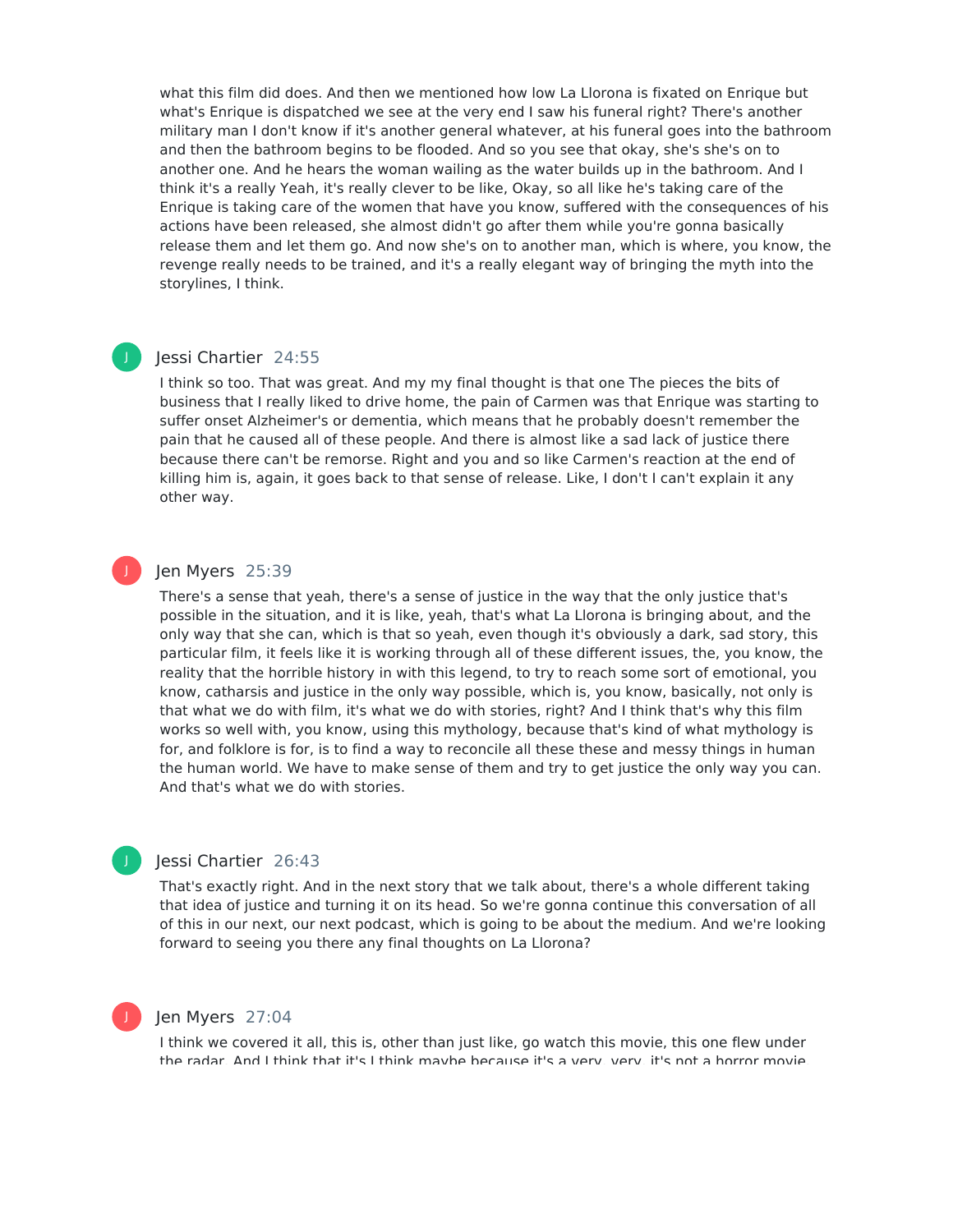what this film did does. And then we mentioned how low La Llorona is fixated on Enrique but what's Enrique is dispatched we see at the very end I saw his funeral right? There's another military man I don't know if it's another general whatever, at his funeral goes into the bathroom and then the bathroom begins to be flooded. And so you see that okay, she's she's on to another one. And he hears the woman wailing as the water builds up in the bathroom. And I think it's a really Yeah, it's really clever to be like, Okay, so all like he's taking care of the Enrique is taking care of the women that have you know, suffered with the consequences of his actions have been released, she almost didn't go after them while you're gonna basically release them and let them go. And now she's on to another man, which is where, you know, the revenge really needs to be trained, and it's a really elegant way of bringing the myth into the storylines, I think.

#### Jessi Chartier 24:55

J

J

J

I think so too. That was great. And my my final thought is that one The pieces the bits of business that I really liked to drive home, the pain of Carmen was that Enrique was starting to suffer onset Alzheimer's or dementia, which means that he probably doesn't remember the pain that he caused all of these people. And there is almost like a sad lack of justice there because there can't be remorse. Right and you and so like Carmen's reaction at the end of killing him is, again, it goes back to that sense of release. Like, I don't I can't explain it any other way.

#### Jen Myers 25:39

There's a sense that yeah, there's a sense of justice in the way that the only justice that's possible in the situation, and it is like, yeah, that's what La Llorona is bringing about, and the only way that she can, which is that so yeah, even though it's obviously a dark, sad story, this particular film, it feels like it is working through all of these different issues, the, you know, the reality that the horrible history in with this legend, to try to reach some sort of emotional, you know, catharsis and justice in the only way possible, which is, you know, basically, not only is that what we do with film, it's what we do with stories, right? And I think that's why this film works so well with, you know, using this mythology, because that's kind of what mythology is for, and folklore is for, is to find a way to reconcile all these these and messy things in human the human world. We have to make sense of them and try to get justice the only way you can. And that's what we do with stories.

#### Jessi Chartier 26:43

That's exactly right. And in the next story that we talk about, there's a whole different taking that idea of justice and turning it on its head. So we're gonna continue this conversation of all of this in our next, our next podcast, which is going to be about the medium. And we're looking forward to seeing you there any final thoughts on La Llorona?

#### Jen Myers 27:04

I think we covered it all, this is, other than just like, go watch this movie, this one flew under the radar. And I think that it's I think maybe because it's a very, very, it's not a horror movie.